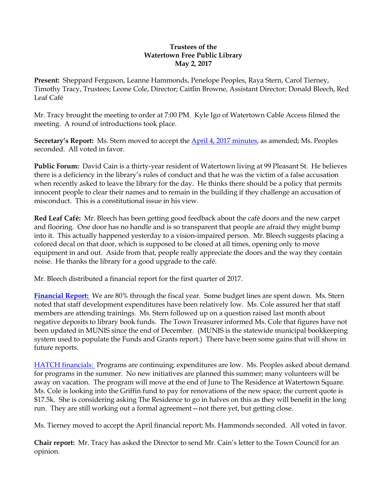## **Trustees of the Watertown Free Public Library May 2, 2017**

**Present:** Sheppard Ferguson, Leanne Hammonds, Penelope Peoples, Raya Stern, Carol Tierney, Timothy Tracy, Trustees; Leone Cole, Director; Caitlin Browne, Assistant Director; Donald Bleech, Red Leaf Café

Mr. Tracy brought the meeting to order at 7:00 PM. Kyle Igo of Watertown Cable Access filmed the meeting. A round of introductions took place.

**Secretary's Report:** Ms. Stern moved to accept the [April 4, 2017 minutes,](http://ci.watertown.ma.us/DocumentCenter/View/22447) as amended; Ms. Peoples seconded. All voted in favor.

**Public Forum:** David Cain is a thirty-year resident of Watertown living at 99 Pleasant St. He believes there is a deficiency in the library's rules of conduct and that he was the victim of a false accusation when recently asked to leave the library for the day. He thinks there should be a policy that permits innocent people to clear their names and to remain in the building if they challenge an accusation of misconduct. This is a constitutional issue in his view.

**Red Leaf Café:** Mr. Bleech has been getting good feedback about the café doors and the new carpet and flooring. One door has no handle and is so transparent that people are afraid they might bump into it. This actually happened yesterday to a vision-impaired person. Mr. Bleech suggests placing a colored decal on that door, which is supposed to be closed at all times, opening only to move equipment in and out. Aside from that, people really appreciate the doors and the way they contain noise. He thanks the library for a good upgrade to the café.

Mr. Bleech distributed a financial report for the first quarter of 2017.

**[Financial Report:](http://ci.watertown.ma.us/DocumentCenter/View/22879)** We are 80% through the fiscal year. Some budget lines are spent down. Ms. Stern noted that staff development expenditures have been relatively low. Ms. Cole assured her that staff members are attending trainings. Ms. Stern followed up on a question raised last month about negative deposits to library book funds. The Town Treasurer informed Ms. Cole that figures have not been updated in MUNIS since the end of December. (MUNIS is the statewide municipal bookkeeping system used to populate the Funds and Grants report.) There have been some gains that will show in future reports.

[HATCH financials:](http://ci.watertown.ma.us/DocumentCenter/View/22880) Programs are continuing; expenditures are low. Ms. Peoples asked about demand for programs in the summer. No new initiatives are planned this summer; many volunteers will be away on vacation. The program will move at the end of June to The Residence at Watertown Square. Ms. Cole is looking into the Griffin fund to pay for renovations of the new space; the current quote is \$17.5k. She is considering asking The Residence to go in halves on this as they will benefit in the long run. They are still working out a formal agreement—not there yet, but getting close.

Ms. Tierney moved to accept the April financial report; Ms. Hammonds seconded. All voted in favor.

**Chair report:** Mr. Tracy has asked the Director to send Mr. Cain's letter to the Town Council for an opinion.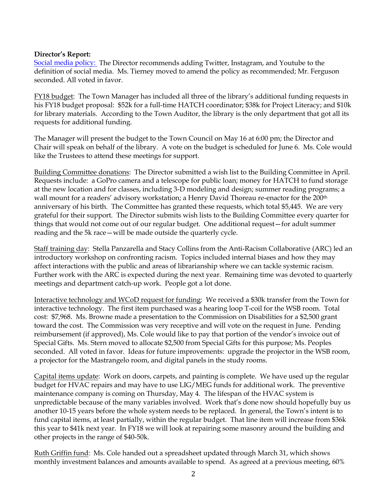## **Director's Report:**

[Social media policy:](http://ci.watertown.ma.us/DocumentCenter/View/22881) The Director recommends adding Twitter, Instagram, and Youtube to the definition of social media. Ms. Tierney moved to amend the policy as recommended; Mr. Ferguson seconded. All voted in favor.

FY18 budget: The Town Manager has included all three of the library's additional funding requests in his FY18 budget proposal: \$52k for a full-time HATCH coordinator; \$38k for Project Literacy; and \$10k for library materials. According to the Town Auditor, the library is the only department that got all its requests for additional funding.

The Manager will present the budget to the Town Council on May 16 at 6:00 pm; the Director and Chair will speak on behalf of the library. A vote on the budget is scheduled for June 6. Ms. Cole would like the Trustees to attend these meetings for support.

Building Committee donations: The Director submitted a wish list to the Building Committee in April. Requests include: a GoPro camera and a telescope for public loan; money for HATCH to fund storage at the new location and for classes, including 3-D modeling and design; summer reading programs; a wall mount for a readers' advisory workstation; a Henry David Thoreau re-enactor for the 200<sup>th</sup> anniversary of his birth. The Committee has granted these requests, which total \$5,445. We are very grateful for their support. The Director submits wish lists to the Building Committee every quarter for things that would not come out of our regular budget. One additional request—for adult summer reading and the 5k race—will be made outside the quarterly cycle.

Staff training day: Stella Panzarella and Stacy Collins from the Anti-Racism Collaborative (ARC) led an introductory workshop on confronting racism. Topics included internal biases and how they may affect interactions with the public and areas of librarianship where we can tackle systemic racism. Further work with the ARC is expected during the next year. Remaining time was devoted to quarterly meetings and department catch-up work. People got a lot done.

Interactive technology and WCoD request for funding: We received a \$30k transfer from the Town for interactive technology. The first item purchased was a hearing loop T-coil for the WSB room. Total cost: \$7,968. Ms. Browne made a presentation to the Commission on Disabilities for a \$2,500 grant toward the cost. The Commission was very receptive and will vote on the request in June. Pending reimbursement (if approved), Ms. Cole would like to pay that portion of the vendor's invoice out of Special Gifts. Ms. Stern moved to allocate \$2,500 from Special Gifts for this purpose; Ms. Peoples seconded. All voted in favor. Ideas for future improvements: upgrade the projector in the WSB room, a projector for the Mastrangelo room, and digital panels in the study rooms.

Capital items update: Work on doors, carpets, and painting is complete. We have used up the regular budget for HVAC repairs and may have to use LIG/MEG funds for additional work. The preventive maintenance company is coming on Thursday, May 4. The lifespan of the HVAC system is unpredictable because of the many variables involved. Work that's done now should hopefully buy us another 10-15 years before the whole system needs to be replaced. In general, the Town's intent is to fund capital items, at least partially, within the regular budget. That line item will increase from \$36k this year to \$41k next year. In FY18 we will look at repairing some masonry around the building and other projects in the range of \$40-50k.

Ruth Griffin fund: Ms. Cole handed out a spreadsheet updated through March 31, which shows monthly investment balances and amounts available to spend. As agreed at a previous meeting, 60%